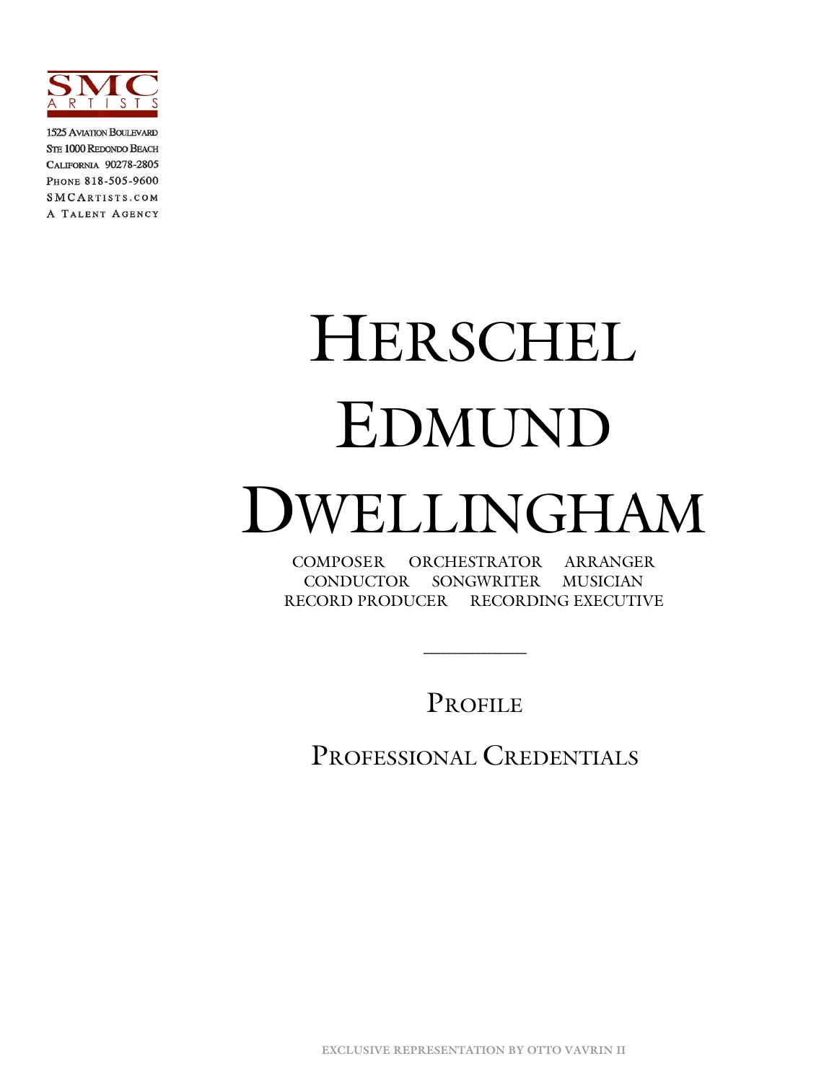

1525 AVIATION BOULEVARD **STE 1000 REDONDO BEACH** CALIFORNIA 90278-2805 PHONE 818-505-9600 SMCARTISTS.COM A TALENT AGENCY

# HERSCHEL EDMUND DWELLINGHAM

COMPOSER ORCHESTRATOR ARRANGER CONDUCTOR SONGWRITER MUSICIAN RECORD PRODUCER RECORDING EXECUTIVE

PROFILE

 **\_\_\_\_\_\_\_\_\_\_\_\_\_\_\_\_\_\_**

PROFESSIONAL CREDENTIALS

**EXCLUSIVE REPRESENTATION BY OTTO VAVRIN II**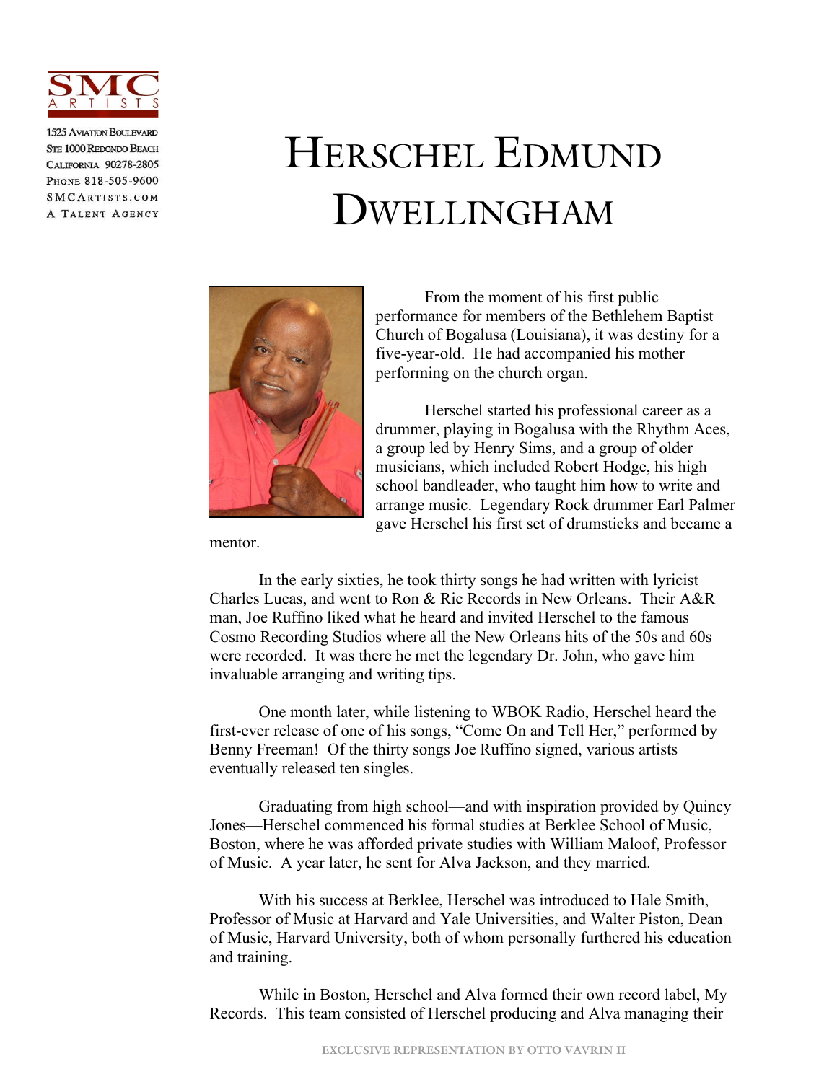

**1525 AVIATION BOULEVARD** STE 1000 REDONDO BEACH CALIFORNIA 90278-2805 PHONE 818-505-9600 SMCARTISTS.COM A TALENT AGENCY

# HERSCHEL EDMUND DWELLINGHAM



From the moment of his first public performance for members of the Bethlehem Baptist Church of Bogalusa (Louisiana), it was destiny for a five-year-old. He had accompanied his mother performing on the church organ.

Herschel started his professional career as a drummer, playing in Bogalusa with the Rhythm Aces, a group led by Henry Sims, and a group of older musicians, which included Robert Hodge, his high school bandleader, who taught him how to write and arrange music. Legendary Rock drummer Earl Palmer gave Herschel his first set of drumsticks and became a

mentor.

In the early sixties, he took thirty songs he had written with lyricist Charles Lucas, and went to Ron & Ric Records in New Orleans. Their A&R man, Joe Ruffino liked what he heard and invited Herschel to the famous Cosmo Recording Studios where all the New Orleans hits of the 50s and 60s were recorded. It was there he met the legendary Dr. John, who gave him invaluable arranging and writing tips.

One month later, while listening to WBOK Radio, Herschel heard the first-ever release of one of his songs, "Come On and Tell Her," performed by Benny Freeman! Of the thirty songs Joe Ruffino signed, various artists eventually released ten singles.

Graduating from high school—and with inspiration provided by Quincy Jones—Herschel commenced his formal studies at Berklee School of Music, Boston, where he was afforded private studies with William Maloof, Professor of Music. A year later, he sent for Alva Jackson, and they married.

With his success at Berklee, Herschel was introduced to Hale Smith, Professor of Music at Harvard and Yale Universities, and Walter Piston, Dean of Music, Harvard University, both of whom personally furthered his education and training.

While in Boston, Herschel and Alva formed their own record label, My Records. This team consisted of Herschel producing and Alva managing their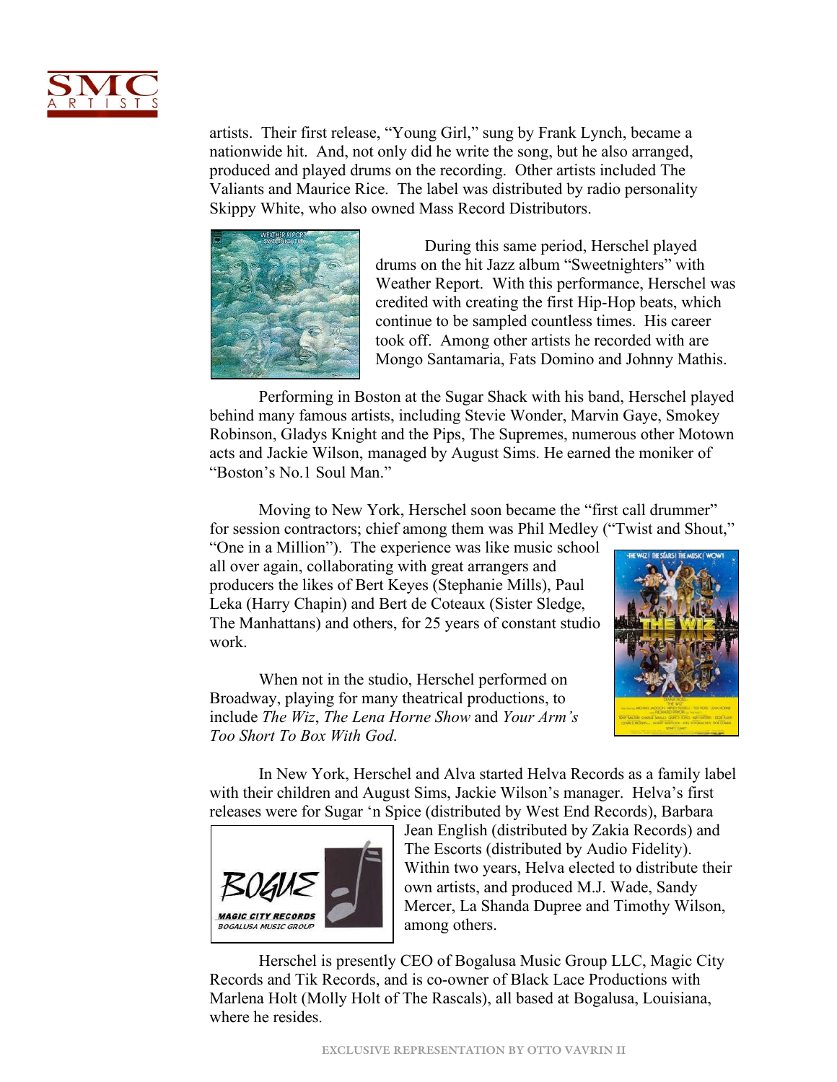

artists. Their first release, "Young Girl," sung by Frank Lynch, became a nationwide hit. And, not only did he write the song, but he also arranged, produced and played drums on the recording. Other artists included The Valiants and Maurice Rice. The label was distributed by radio personality Skippy White, who also owned Mass Record Distributors.



During this same period, Herschel played drums on the hit Jazz album "Sweetnighters" with Weather Report. With this performance, Herschel was credited with creating the first Hip-Hop beats, which continue to be sampled countless times. His career took off. Among other artists he recorded with are Mongo Santamaria, Fats Domino and Johnny Mathis.

Performing in Boston at the Sugar Shack with his band, Herschel played behind many famous artists, including Stevie Wonder, Marvin Gaye, Smokey Robinson, Gladys Knight and the Pips, The Supremes, numerous other Motown acts and Jackie Wilson, managed by August Sims. He earned the moniker of "Boston's No.1 Soul Man."

Moving to New York, Herschel soon became the "first call drummer" for session contractors; chief among them was Phil Medley ("Twist and Shout,"

"One in a Million"). The experience was like music school all over again, collaborating with great arrangers and producers the likes of Bert Keyes (Stephanie Mills), Paul Leka (Harry Chapin) and Bert de Coteaux (Sister Sledge, The Manhattans) and others, for 25 years of constant studio work.

When not in the studio, Herschel performed on Broadway, playing for many theatrical productions, to include *The Wiz*, *The Lena Horne Show* and *Your Arm's Too Short To Box With God*.



In New York, Herschel and Alva started Helva Records as a family label with their children and August Sims, Jackie Wilson's manager. Helva's first releases were for Sugar 'n Spice (distributed by West End Records), Barbara



Jean English (distributed by Zakia Records) and The Escorts (distributed by Audio Fidelity). Within two years, Helva elected to distribute their own artists, and produced M.J. Wade, Sandy Mercer, La Shanda Dupree and Timothy Wilson, among others.

Herschel is presently CEO of Bogalusa Music Group LLC, Magic City Records and Tik Records, and is co-owner of Black Lace Productions with Marlena Holt (Molly Holt of The Rascals), all based at Bogalusa, Louisiana, where he resides.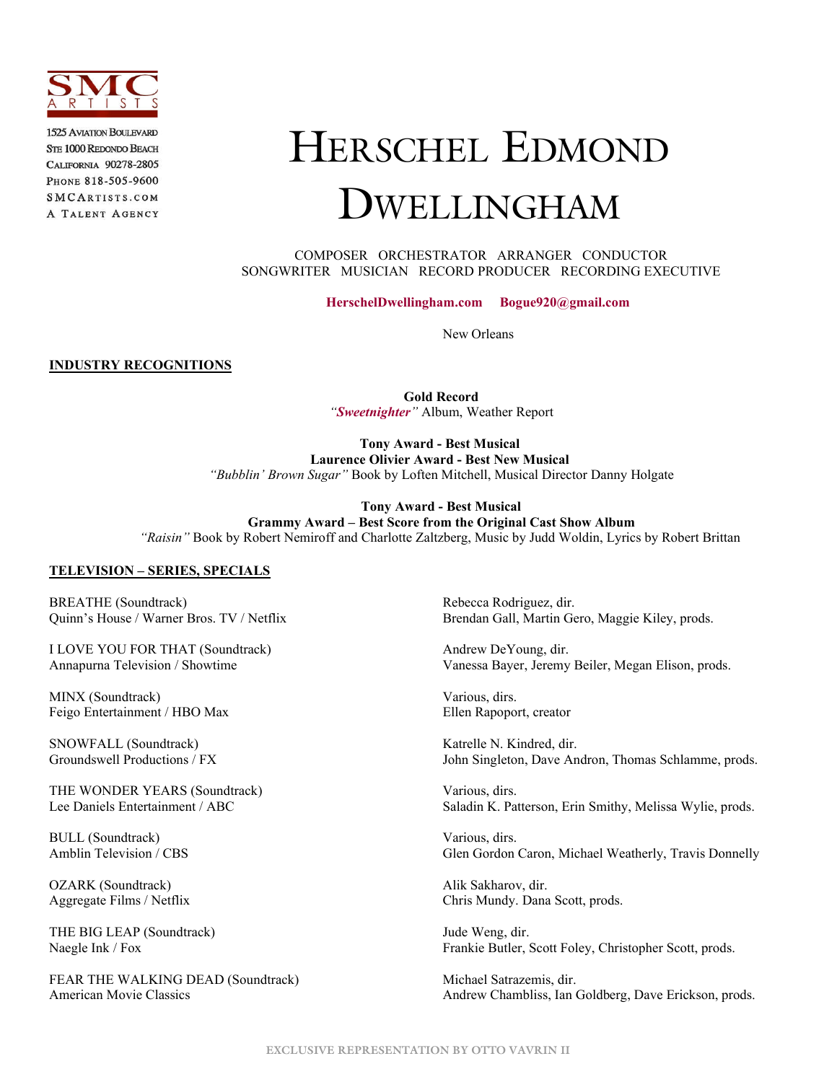

**1525 AVIATION BOULEVARD** STE 1000 REDONDO BEACH CALIFORNIA 90278-2805 PHONE 818-505-9600 SMCARTISTS.COM A TALENT AGENCY

# HERSCHEL EDMOND DWELLINGHAM

 COMPOSER ORCHESTRATOR ARRANGER CONDUCTOR SONGWRITER MUSICIAN RECORD PRODUCER RECORDING EXECUTIVE

**[HerschelDwellingham.com](https://herscheldwellingham.com/) Bogue920@gmail.com**

New Orleans

**INDUSTRY RECOGNITIONS**

**Gold Record** *"[Sweetnighter](https://www.youtube.com/watch?v=CMaCYINeX7A)"* Album, Weather Report

**Tony Award - Best Musical Laurence Olivier Award - Best New Musical** *"Bubblin' Brown Sugar"* Book by Loften Mitchell, Musical Director Danny Holgate

**Tony Award - Best Musical Grammy Award – Best Score from the Original Cast Show Album** *"Raisin"* Book by Robert Nemiroff and Charlotte Zaltzberg, Music by Judd Woldin, Lyrics by Robert Brittan

#### **TELEVISION – SERIES, SPECIALS**

BREATHE (Soundtrack) Rebecca Rodriguez, dir.

I LOVE YOU FOR THAT (Soundtrack) Andrew DeYoung, dir.

MINX (Soundtrack) Soundtrack and the set of the set of the various, dirs. Feigo Entertainment / HBO Max Ellen Rapoport, creator

SNOWFALL (Soundtrack) Katrelle N. Kindred, dir.<br>
Groundswell Productions / FX John Singleton, Dave An

THE WONDER YEARS (Soundtrack) Various, dirs.

BULL (Soundtrack) Various, dirs.

OZARK (Soundtrack) and Alik Sakharov, dir.

THE BIG LEAP (Soundtrack) Jude Weng, dir.

FEAR THE WALKING DEAD (Soundtrack) Michael Satrazemis, dir.

Quinn's House / Warner Bros. TV / Netflix Brendan Gall, Martin Gero, Maggie Kiley, prods.

Annapurna Television / Showtime Vanessa Bayer, Jeremy Beiler, Megan Elison, prods.

John Singleton, Dave Andron, Thomas Schlamme, prods.

Lee Daniels Entertainment / ABC Saladin K. Patterson, Erin Smithy, Melissa Wylie, prods.

Amblin Television / CBS Glen Gordon Caron, Michael Weatherly, Travis Donnelly

Aggregate Films / Netflix Chris Mundy. Dana Scott, prods.

Naegle Ink / Fox Frankie Butler, Scott Foley, Christopher Scott, prods.

American Movie Classics Andrew Chambliss, Ian Goldberg, Dave Erickson, prods.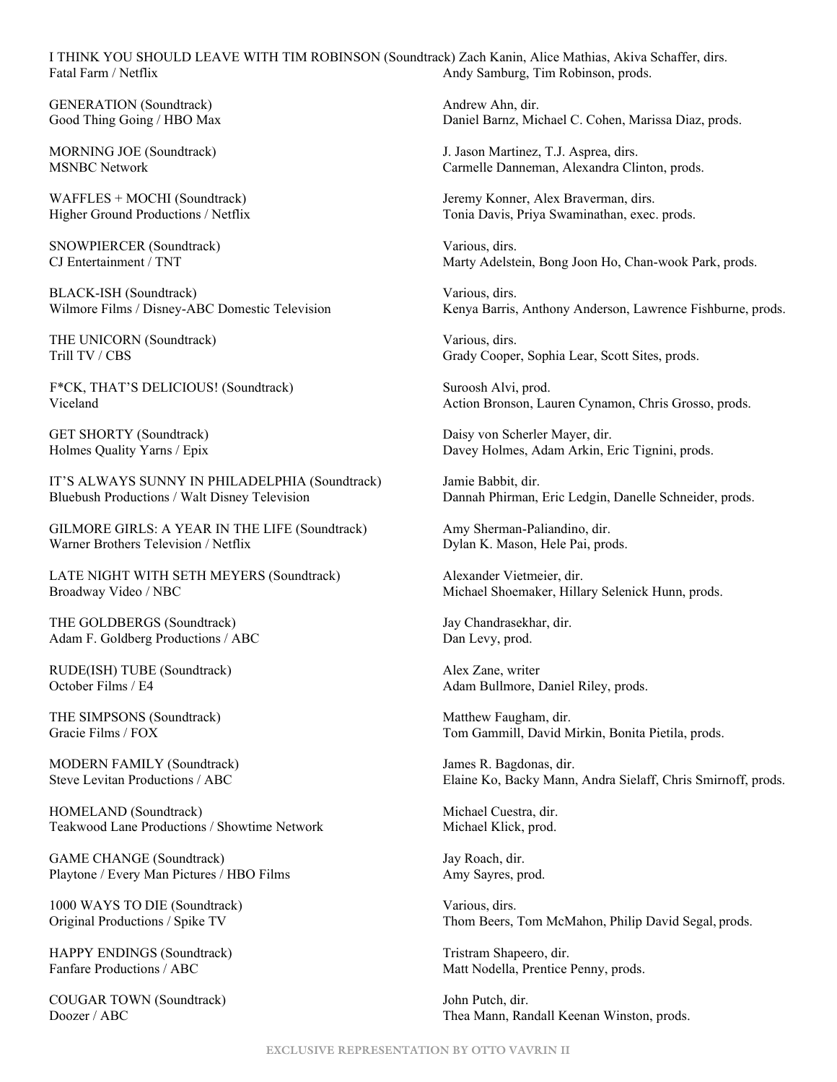I THINK YOU SHOULD LEAVE WITH TIM ROBINSON (Soundtrack) Zach Kanin, Alice Mathias, Akiva Schaffer, dirs. Fatal Farm / Netflix **Andy Samburg, Tim Robinson, prods.** Andy Samburg, Tim Robinson, prods.

GENERATION (Soundtrack) Andrew Ahn, dir. Good Thing Going / HBO Max Daniel Barnz, Michael C. Cohen, Marissa Diaz, prods.

SNOWPIERCER (Soundtrack) Various, dirs.

BLACK-ISH (Soundtrack) Various, dirs.

THE UNICORN (Soundtrack) Various, dirs.

F\*CK, THAT'S DELICIOUS! (Soundtrack) Suroosh Alvi, prod.

IT'S ALWAYS SUNNY IN PHILADELPHIA (Soundtrack) Jamie Babbit, dir. Bluebush Productions / Walt Disney Television Dannah Phirman, Eric Ledgin, Danelle Schneider, prods.

GILMORE GIRLS: A YEAR IN THE LIFE (Soundtrack) Amy Sherman-Paliandino, dir. Warner Brothers Television / Netflix Dylan K. Mason, Hele Pai, prods.

LATE NIGHT WITH SETH MEYERS (Soundtrack) Alexander Vietmeier, dir. Broadway Video / NBC Michael Shoemaker, Hillary Selenick Hunn, prods.

THE GOLDBERGS (Soundtrack) Jay Chandrasekhar, dir. Adam F. Goldberg Productions / ABC Dan Levy, prod.

RUDE(ISH) TUBE (Soundtrack) Alex Zane, writer

THE SIMPSONS (Soundtrack) Matthew Faugham, dir.

MODERN FAMILY (Soundtrack) James R. Bagdonas, dir.

HOMELAND (Soundtrack) Michael Cuestra, dir. Teakwood Lane Productions / Showtime Network Michael Klick, prod.

GAME CHANGE (Soundtrack) Jay Roach, dir. Playtone / Every Man Pictures / HBO Films Amy Sayres, prod.

1000 WAYS TO DIE (Soundtrack) Various, dirs.

HAPPY ENDINGS (Soundtrack) Tristram Shapeero, dir.

COUGAR TOWN (Soundtrack) John Putch, dir.

MORNING JOE (Soundtrack) J. Jason Martinez, T.J. Asprea, dirs. MSNBC Network Carmelle Danneman, Alexandra Clinton, prods.

WAFFLES + MOCHI (Soundtrack) Sound and Marketine Mercury Monner, Alex Braverman, dirs. Higher Ground Productions / Netflix Tonia Davis, Priya Swaminathan, exec. prods.

CJ Entertainment / TNT Marty Adelstein, Bong Joon Ho, Chan-wook Park, prods.

Wilmore Films / Disney-ABC Domestic Television Kenya Barris, Anthony Anderson, Lawrence Fishburne, prods.

Trill TV / CBS Grady Cooper, Sophia Lear, Scott Sites, prods.

Viceland Action Bronson, Lauren Cynamon, Chris Grosso, prods.

GET SHORTY (Soundtrack) Daisy von Scherler Mayer, dir. Holmes Quality Yarns / Epix Davey Holmes, Adam Arkin, Eric Tignini, prods.

October Films / E4 Adam Bullmore, Daniel Riley, prods.

Gracie Films / FOX Tom Gammill, David Mirkin, Bonita Pietila, prods.

Steve Levitan Productions / ABC Elaine Ko, Backy Mann, Andra Sielaff, Chris Smirnoff, prods.

Original Productions / Spike TV Thom Beers, Tom McMahon, Philip David Segal, prods.

Fanfare Productions / ABC Matt Nodella, Prentice Penny, prods.

Doozer / ABC Thea Mann, Randall Keenan Winston, prods.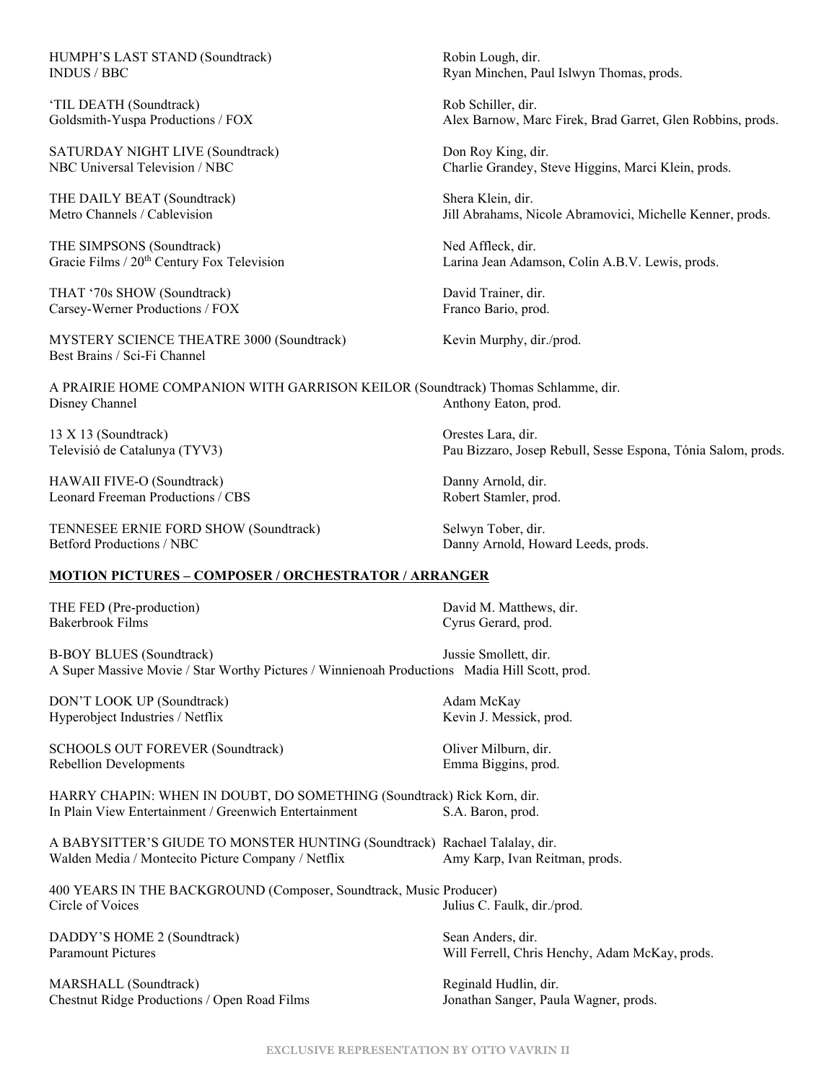HUMPH'S LAST STAND (Soundtrack) Robin Lough, dir.

'TIL DEATH (Soundtrack) Rob Schiller, dir.

SATURDAY NIGHT LIVE (Soundtrack) Don Roy King, dir.

THE DAILY BEAT (Soundtrack) Shera Klein, dir.

THE SIMPSONS (Soundtrack) Ned Affleck, dir.

THAT '70s SHOW (Soundtrack) David Trainer, dir. Carsey-Werner Productions / FOX Franco Bario, prod.

MYSTERY SCIENCE THEATRE 3000 (Soundtrack) Kevin Murphy, dir./prod. Best Brains / Sci-Fi Channel

A PRAIRIE HOME COMPANION WITH GARRISON KEILOR (Soundtrack) Thomas Schlamme, dir. Disney Channel **Anthony Eaton**, prod. **Anthony Eaton**, prod.

13 X 13 (Soundtrack) Orestes Lara, dir.

HAWAII FIVE-O (Soundtrack) Danny Arnold, dir. Leonard Freeman Productions / CBS Robert Stamler, prod.

TENNESEE ERNIE FORD SHOW (Soundtrack) Selwyn Tober, dir. Betford Productions / NBC Danny Arnold, Howard Leeds, prods.

**MOTION PICTURES – COMPOSER / ORCHESTRATOR / ARRANGER**

THE FED (Pre-production) David M. Matthews, dir.<br>
Bakerbrook Films Cyrus Gerard. prod.

Cyrus Gerard, prod.

B-BOY BLUES (Soundtrack) Jussie Smollett, dir. A Super Massive Movie / Star Worthy Pictures / Winnienoah Productions Madia Hill Scott, prod.

DON'T LOOK UP (Soundtrack) Adam McKay Hyperobject Industries / Netflix Kevin J. Messick, prod.

SCHOOLS OUT FOREVER (Soundtrack) Oliver Milburn, dir. Rebellion Developments **Emma Biggins**, prod.

HARRY CHAPIN: WHEN IN DOUBT, DO SOMETHING (Soundtrack) Rick Korn, dir. In Plain View Entertainment / Greenwich Entertainment S.A. Baron, prod.

A BABYSITTER'S GIUDE TO MONSTER HUNTING (Soundtrack) Rachael Talalay, dir. Walden Media / Montecito Picture Company / Netflix Amy Karp, Ivan Reitman, prods.

400 YEARS IN THE BACKGROUND (Composer, Soundtrack, Music Producer) Circle of Voices Julius C. Faulk, dir./prod.

DADDY'S HOME 2 (Soundtrack) Sean Anders, dir.

MARSHALL (Soundtrack)<br>
Chestnut Ridge Productions / Open Road Films<br>
Chestnut Ridge Productions / Open Road Films<br>
Sonathan Sanger, Paula Wagner, prods. Chestnut Ridge Productions / Open Road Films

INDUS / BBC Ryan Minchen, Paul Islwyn Thomas, prods.

Goldsmith-Yuspa Productions / FOX Alex Barnow, Marc Firek, Brad Garret, Glen Robbins, prods.

NBC Universal Television / NBC Charlie Grandey, Steve Higgins, Marci Klein, prods.

Metro Channels / Cablevision Jill Abrahams, Nicole Abramovici, Michelle Kenner, prods.

Gracie Films / 20<sup>th</sup> Century Fox Television Larina Jean Adamson, Colin A.B.V. Lewis, prods.

Televisió de Catalunya (TYV3) Pau Bizzaro, Josep Rebull, Sesse Espona, Tónia Salom, prods.

Paramount Pictures Will Ferrell, Chris Henchy, Adam McKay, prods.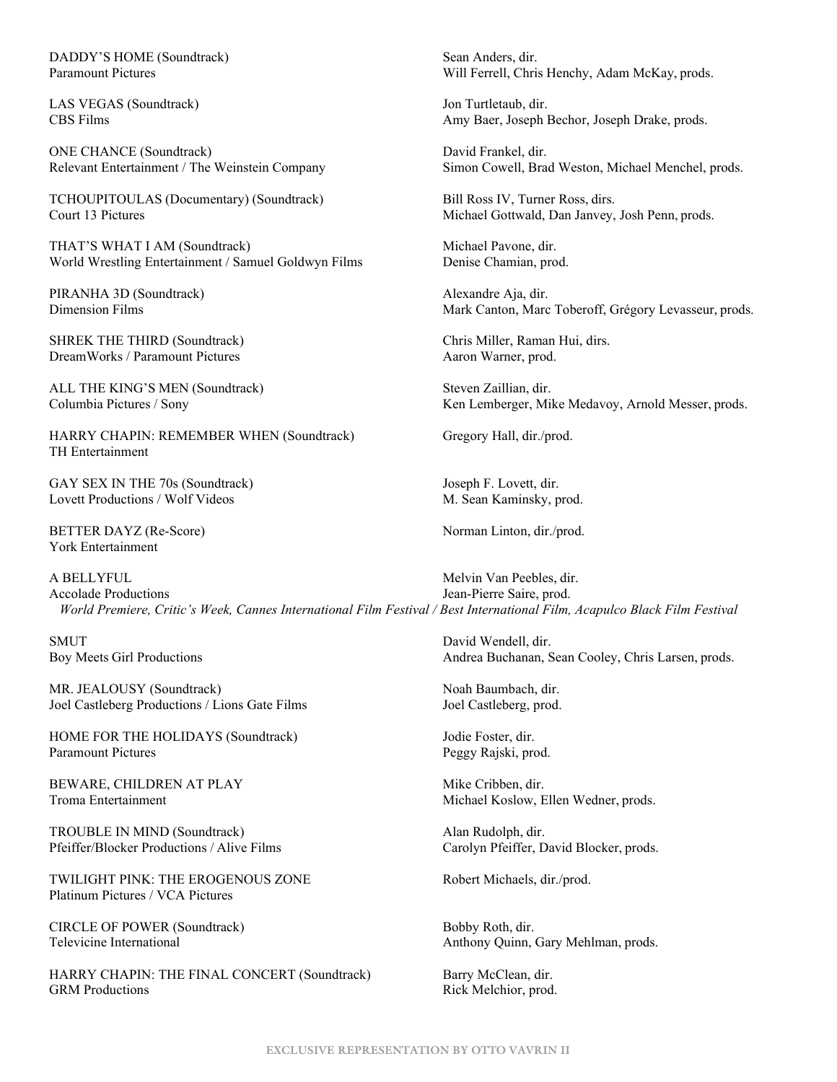DADDY'S HOME (Soundtrack) Sean Anders, dir.

LAS VEGAS (Soundtrack) Jon Turtletaub, dir.

ONE CHANCE (Soundtrack) David Frankel, dir.

TCHOUPITOULAS (Documentary) (Soundtrack) Bill Ross IV, Turner Ross, dirs. Court 13 Pictures **Michael Gottwald, Dan Janvey, Josh Penn**, prods.

THAT'S WHAT I AM (Soundtrack) Michael Pavone, dir. World Wrestling Entertainment / Samuel Goldwyn Films Denise Chamian, prod.

PIRANHA 3D (Soundtrack) Alexandre Aja, dir.

SHREK THE THIRD (Soundtrack) Chris Miller, Raman Hui, dirs. DreamWorks / Paramount Pictures Aaron Warner, prod.

ALL THE KING'S MEN (Soundtrack) Steven Zaillian, dir.

HARRY CHAPIN: REMEMBER WHEN (Soundtrack) Gregory Hall, dir./prod. TH Entertainment

GAY SEX IN THE 70s (Soundtrack) Joseph F. Lovett, dir. Lovett Productions / Wolf Videos M. Sean Kaminsky, prod.

BETTER DAYZ (Re-Score) Norman Linton, dir./prod. York Entertainment

A BELLYFUL Melvin Van Peebles, dir. Accolade Productions **I**ean-Pierre Saire, prod.  *World Premiere, Critic's Week, Cannes International Film Festival / Best International Film, Acapulco Black Film Festival*

SMUT David Wendell, dir.

MR. JEALOUSY (Soundtrack) Noah Baumbach, dir. Joel Castleberg Productions / Lions Gate Films Joel Castleberg, prod.

HOME FOR THE HOLIDAYS (Soundtrack) Jodie Foster, dir. Paramount Pictures **Peggy Rajski**, prod.

BEWARE, CHILDREN AT PLAY Mike Cribben, dir.

TROUBLE IN MIND (Soundtrack) Alan Rudolph, dir. Pfeiffer/Blocker Productions / Alive Films Carolyn Pfeiffer, David Blocker, prods.

TWILIGHT PINK: THE EROGENOUS ZONE Robert Michaels, dir./prod. Platinum Pictures / VCA Pictures

CIRCLE OF POWER (Soundtrack) Bobby Roth, dir.

HARRY CHAPIN: THE FINAL CONCERT (Soundtrack) Barry McClean, dir. GRM Productions Rick Melchior, prod.

Paramount Pictures Will Ferrell, Chris Henchy, Adam McKay, prods.

CBS Films Amy Baer, Joseph Bechor, Joseph Drake, prods.

Relevant Entertainment / The Weinstein Company Simon Cowell, Brad Weston, Michael Menchel, prods.

Dimension Films Mark Canton, Mark Canton, Marc Toberoff, Grégory Levasseur, prods.

Columbia Pictures / Sony The Messer, and Messer, prods. Ken Lemberger, Mike Medavoy, Arnold Messer, prods.

Boy Meets Girl Productions **Andrea Buchanan**, Sean Cooley, Chris Larsen, prods.

Troma Entertainment and Michael Koslow, Ellen Wedner, prods.

Televicine International **Anthony Quinn**, Gary Mehlman, prods.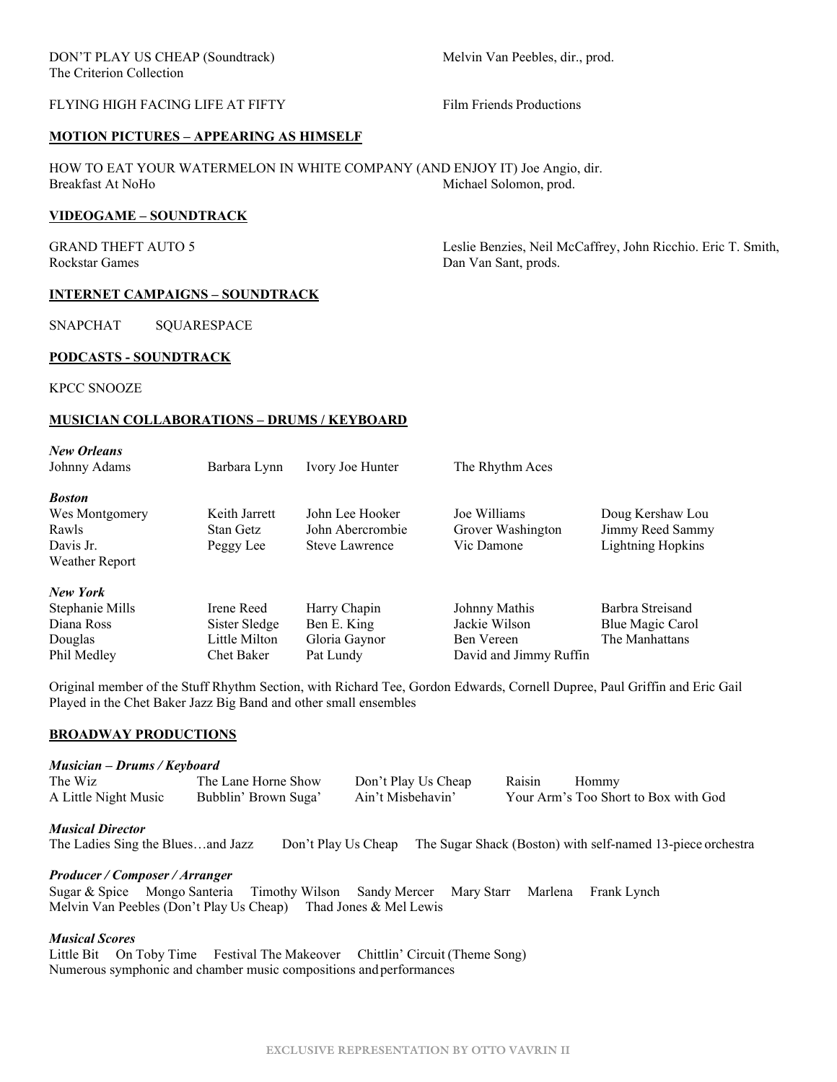## FLYING HIGH FACING LIFE AT FIFTY FILM Friends Productions

#### **MOTION PICTURES – APPEARING AS HIMSELF**

HOW TO EAT YOUR WATERMELON IN WHITE COMPANY (AND ENJOY IT) Joe Angio, dir. Breakfast At NoHo Michael Solomon, prod.

#### **VIDEOGAME – SOUNDTRACK**

Rockstar Games Dan Van Sant, prods.

GRAND THEFT AUTO 5 Leslie Benzies, Neil McCaffrey, John Ricchio. Eric T. Smith,

#### **INTERNET CAMPAIGNS – SOUNDTRACK**

SNAPCHAT SQUARESPACE

#### **PODCASTS - SOUNDTRACK**

KPCC SNOOZE

#### **MUSICIAN COLLABORATIONS – DRUMS / KEYBOARD**

| <b>New Orleans</b> |               |                       |                        |                          |
|--------------------|---------------|-----------------------|------------------------|--------------------------|
| Johnny Adams       | Barbara Lynn  | Ivory Joe Hunter      | The Rhythm Aces        |                          |
| <b>Boston</b>      |               |                       |                        |                          |
| Wes Montgomery     | Keith Jarrett | John Lee Hooker       | Joe Williams           | Doug Kershaw Lou         |
| Rawls              | Stan Getz     | John Abercrombie      | Grover Washington      | Jimmy Reed Sammy         |
| Davis Jr.          | Peggy Lee     | <b>Steve Lawrence</b> | Vic Damone             | <b>Lightning Hopkins</b> |
| Weather Report     |               |                       |                        |                          |
| New York           |               |                       |                        |                          |
| Stephanie Mills    | Irene Reed    | Harry Chapin          | Johnny Mathis          | Barbra Streisand         |
| Diana Ross         | Sister Sledge | Ben E. King           | Jackie Wilson          | Blue Magic Carol         |
| Douglas            | Little Milton | Gloria Gaynor         | Ben Vereen             | The Manhattans           |
| Phil Medley        | Chet Baker    | Pat Lundy             | David and Jimmy Ruffin |                          |

Original member of the Stuff Rhythm Section, with Richard Tee, Gordon Edwards, Cornell Dupree, Paul Griffin and Eric Gail Played in the Chet Baker Jazz Big Band and other small ensembles

#### **BROADWAY PRODUCTIONS**

#### *Musician – Drums / Keyboard*

| The Wiz              | The Lane Horne Show  | Don't Play Us Cheap | Raisin | Hommy                                |
|----------------------|----------------------|---------------------|--------|--------------------------------------|
| A Little Night Music | Bubblin' Brown Suga' | Ain't Misbehavin'   |        | Your Arm's Too Short to Box with God |

*Musical Director*

The Ladies Sing the Blues…and Jazz Don't Play Us Cheap The Sugar Shack (Boston) with self-named 13-piece orchestra

#### *Producer / Composer / Arranger*

Sugar & Spice Mongo Santeria Timothy Wilson Sandy Mercer Mary Starr Marlena Frank Lynch Melvin Van Peebles (Don't Play Us Cheap) Thad Jones & Mel Lewis

#### *Musical Scores*

Little Bit On Toby Time Festival The Makeover Chittlin' Circuit (Theme Song) Numerous symphonic and chamber music compositions andperformances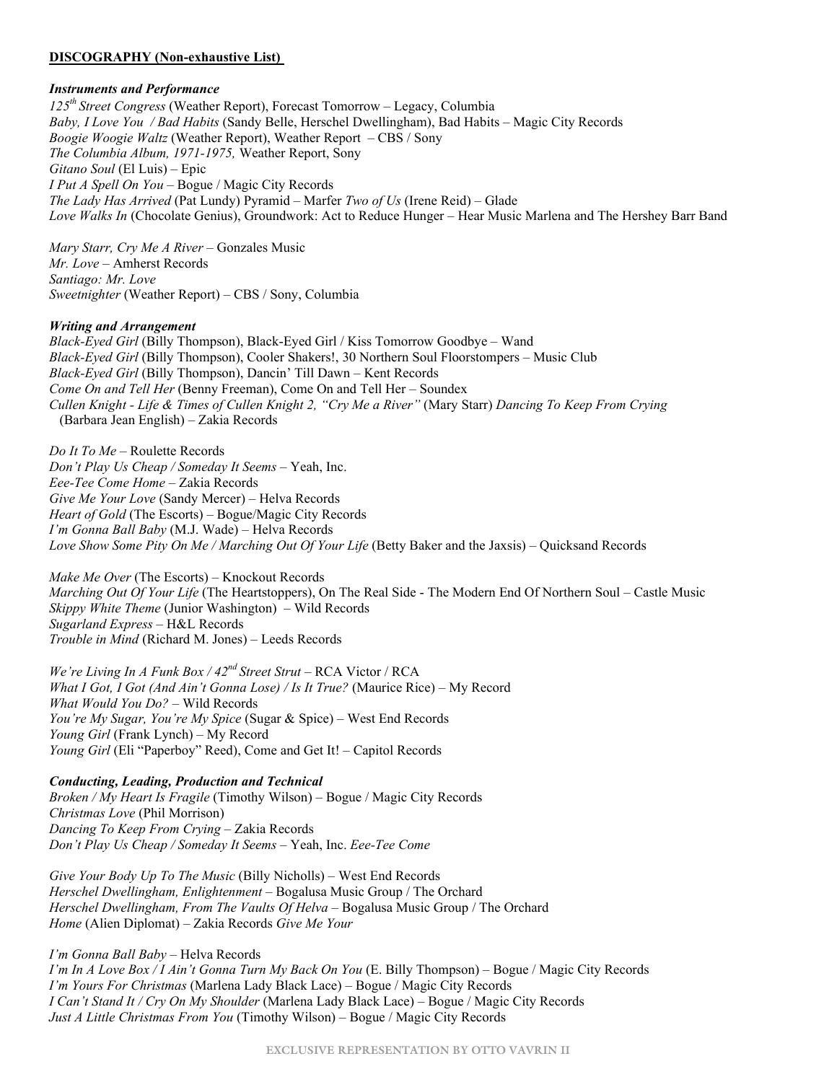### **DISCOGRAPHY (Non-exhaustive List)**

### *Instruments and Performance*

*125th Street Congress* (Weather Report), Forecast Tomorrow – Legacy, Columbia *Baby, I Love You / Bad Habits* (Sandy Belle, Herschel Dwellingham), Bad Habits – Magic City Records *Boogie Woogie Waltz* (Weather Report), Weather Report – CBS / Sony *The Columbia Album, 1971-1975,* Weather Report, Sony *Gitano Soul* (El Luis) – Epic *I Put A Spell On You* – Bogue / Magic City Records *The Lady Has Arrived* (Pat Lundy) Pyramid – Marfer *Two of Us* (Irene Reid) *–* Glade *Love Walks In* (Chocolate Genius), Groundwork: Act to Reduce Hunger – Hear Music Marlena and The Hershey Barr Band

*Mary Starr, Cry Me A River* – Gonzales Music *Mr. Love –* Amherst Records *Santiago: Mr. Love Sweetnighter* (Weather Report) *–* CBS / Sony, Columbia

#### *Writing and Arrangement*

*Black-Eyed Girl* (Billy Thompson), Black-Eyed Girl / Kiss Tomorrow Goodbye – Wand *Black-Eyed Girl* (Billy Thompson), Cooler Shakers!, 30 Northern Soul Floorstompers – Music Club *Black-Eyed Girl* (Billy Thompson), Dancin' Till Dawn – Kent Records *Come On and Tell Her* (Benny Freeman), Come On and Tell Her – Soundex *Cullen Knight - Life & Times of Cullen Knight 2, "Cry Me a River"* (Mary Starr) *Dancing To Keep From Crying* (Barbara Jean English) – Zakia Records

*Do It To Me* – Roulette Records *Don't Play Us Cheap / Someday It Seems* – Yeah, Inc. *Eee-Tee Come Home* – Zakia Records *Give Me Your Love* (Sandy Mercer) – Helva Records *Heart of Gold* (The Escorts) – Bogue/Magic City Records *I'm Gonna Ball Baby* (M.J. Wade) – Helva Records *Love Show Some Pity On Me / Marching Out Of Your Life* (Betty Baker and the Jaxsis) – Quicksand Records

*Make Me Over* (The Escorts) – Knockout Records *Marching Out Of Your Life* (The Heartstoppers), On The Real Side - The Modern End Of Northern Soul – Castle Music *Skippy White Theme* (Junior Washington) – Wild Records *Sugarland Express* – H&L Records *Trouble in Mind* (Richard M. Jones) – Leeds Records

*We're Living In A Funk Box / 42nd Street Strut* – RCA Victor / RCA *What I Got, I Got (And Ain't Gonna Lose) / Is It True?* (Maurice Rice) – My Record *What Would You Do?* – Wild Records *You're My Sugar, You're My Spice* (Sugar & Spice) – West End Records *Young Girl* (Frank Lynch) – My Record *Young Girl* (Eli "Paperboy" Reed), Come and Get It! – Capitol Records

*Conducting, Leading, Production and Technical Broken / My Heart Is Fragile* (Timothy Wilson) – Bogue / Magic City Records *Christmas Love* (Phil Morrison) *Dancing To Keep From Crying* – Zakia Records *Don't Play Us Cheap / Someday It Seems* – Yeah, Inc. *Eee-Tee Come* 

*Give Your Body Up To The Music* (Billy Nicholls) – West End Records *Herschel Dwellingham, Enlightenment* – Bogalusa Music Group / The Orchard *Herschel Dwellingham, From The Vaults Of Helva* – Bogalusa Music Group / The Orchard *Home* (Alien Diplomat) – Zakia Records *Give Me Your*

*I'm Gonna Ball Baby* – Helva Records *I'm In A Love Box / I Ain't Gonna Turn My Back On You* (E. Billy Thompson) – Bogue / Magic City Records *I'm Yours For Christmas* (Marlena Lady Black Lace) – Bogue / Magic City Records *I Can't Stand It / Cry On My Shoulder* (Marlena Lady Black Lace) – Bogue / Magic City Records *Just A Little Christmas From You* (Timothy Wilson) – Bogue / Magic City Records